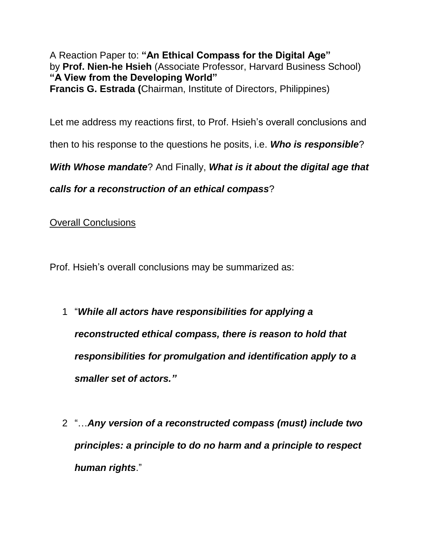A Reaction Paper to: **"An Ethical Compass for the Digital Age"** by **Prof. Nien-he Hsieh** (Associate Professor, Harvard Business School) **"A View from the Developing World" Francis G. Estrada (**Chairman, Institute of Directors, Philippines)

Let me address my reactions first, to Prof. Hsieh's overall conclusions and

then to his response to the questions he posits, i.e. *Who is responsible*?

*With Whose mandate*? And Finally, *What is it about the digital age that* 

*calls for a reconstruction of an ethical compass*?

Overall Conclusions

Prof. Hsieh's overall conclusions may be summarized as:

- 1 "*While all actors have responsibilities for applying a reconstructed ethical compass, there is reason to hold that responsibilities for promulgation and identification apply to a smaller set of actors."*
- 2 "…*Any version of a reconstructed compass (must) include two principles: a principle to do no harm and a principle to respect human rights*."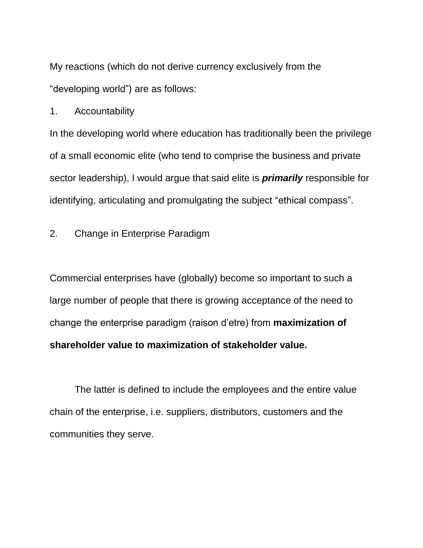My reactions (which do not derive currency exclusively from the "developing world") are as follows:

1. Accountability

In the developing world where education has traditionally been the privilege of a small economic elite (who tend to comprise the business and private sector leadership), I would argue that said elite is *primarily* responsible for identifying, articulating and promulgating the subject "ethical compass".

2. Change in Enterprise Paradigm

Commercial enterprises have (globally) become so important to such a large number of people that there is growing acceptance of the need to change the enterprise paradigm (raison d'etre) from **maximization of shareholder value to maximization of stakeholder value.**

The latter is defined to include the employees and the entire value chain of the enterprise, i.e. suppliers, distributors, customers and the communities they serve.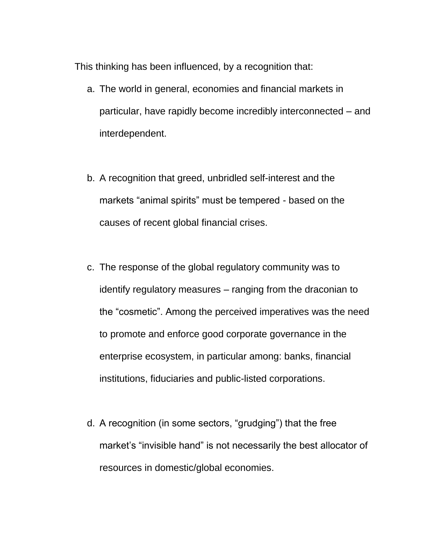This thinking has been influenced, by a recognition that:

- a. The world in general, economies and financial markets in particular, have rapidly become incredibly interconnected – and interdependent.
- b. A recognition that greed, unbridled self-interest and the markets "animal spirits" must be tempered - based on the causes of recent global financial crises.
- c. The response of the global regulatory community was to identify regulatory measures – ranging from the draconian to the "cosmetic". Among the perceived imperatives was the need to promote and enforce good corporate governance in the enterprise ecosystem, in particular among: banks, financial institutions, fiduciaries and public-listed corporations.
- d. A recognition (in some sectors, "grudging") that the free market's "invisible hand" is not necessarily the best allocator of resources in domestic/global economies.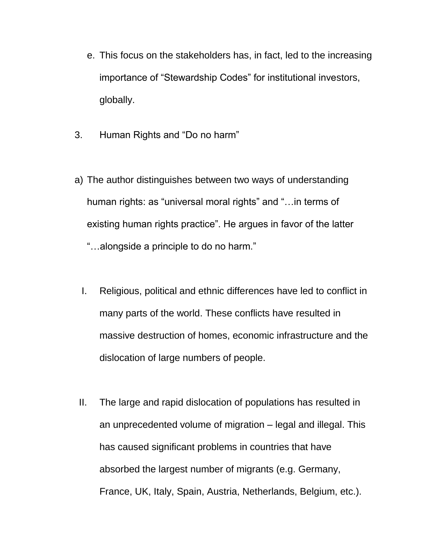- e. This focus on the stakeholders has, in fact, led to the increasing importance of "Stewardship Codes" for institutional investors, globally.
- 3. Human Rights and "Do no harm"
- a) The author distinguishes between two ways of understanding human rights: as "universal moral rights" and "... in terms of existing human rights practice". He argues in favor of the latter "…alongside a principle to do no harm."
	- I. Religious, political and ethnic differences have led to conflict in many parts of the world. These conflicts have resulted in massive destruction of homes, economic infrastructure and the dislocation of large numbers of people.
- II. The large and rapid dislocation of populations has resulted in an unprecedented volume of migration – legal and illegal. This has caused significant problems in countries that have absorbed the largest number of migrants (e.g. Germany, France, UK, Italy, Spain, Austria, Netherlands, Belgium, etc.).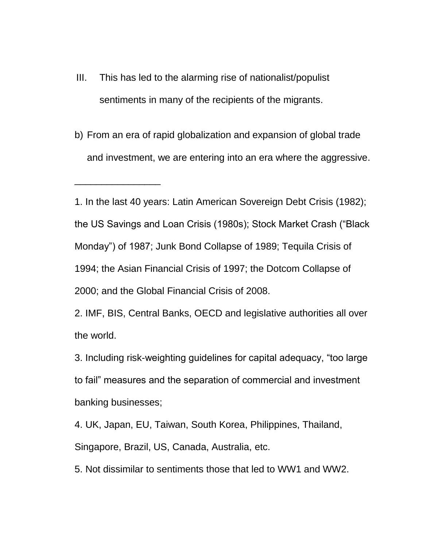III. This has led to the alarming rise of nationalist/populist sentiments in many of the recipients of the migrants.

\_\_\_\_\_\_\_\_\_\_\_\_\_\_\_\_

b) From an era of rapid globalization and expansion of global trade and investment, we are entering into an era where the aggressive.

1. In the last 40 years: Latin American Sovereign Debt Crisis (1982); the US Savings and Loan Crisis (1980s); Stock Market Crash ("Black Monday") of 1987; Junk Bond Collapse of 1989; Tequila Crisis of 1994; the Asian Financial Crisis of 1997; the Dotcom Collapse of 2000; and the Global Financial Crisis of 2008.

2. IMF, BIS, Central Banks, OECD and legislative authorities all over the world.

3. Including risk-weighting guidelines for capital adequacy, "too large to fail" measures and the separation of commercial and investment banking businesses;

4. UK, Japan, EU, Taiwan, South Korea, Philippines, Thailand, Singapore, Brazil, US, Canada, Australia, etc.

5. Not dissimilar to sentiments those that led to WW1 and WW2.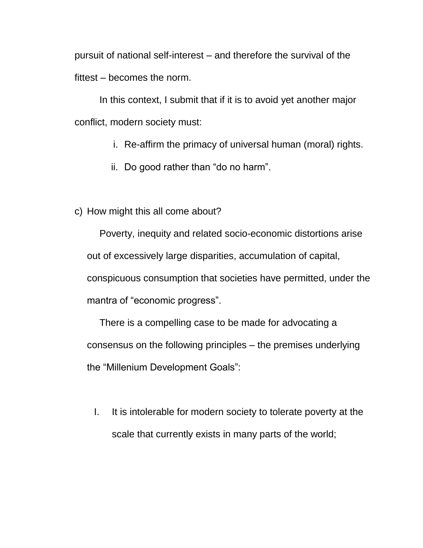pursuit of national self-interest – and therefore the survival of the fittest – becomes the norm.

In this context, I submit that if it is to avoid yet another major conflict, modern society must:

- i. Re-affirm the primacy of universal human (moral) rights.
- ii. Do good rather than "do no harm".
- c) How might this all come about?

Poverty, inequity and related socio-economic distortions arise out of excessively large disparities, accumulation of capital, conspicuous consumption that societies have permitted, under the mantra of "economic progress".

There is a compelling case to be made for advocating a consensus on the following principles – the premises underlying the "Millenium Development Goals":

I. It is intolerable for modern society to tolerate poverty at the scale that currently exists in many parts of the world;